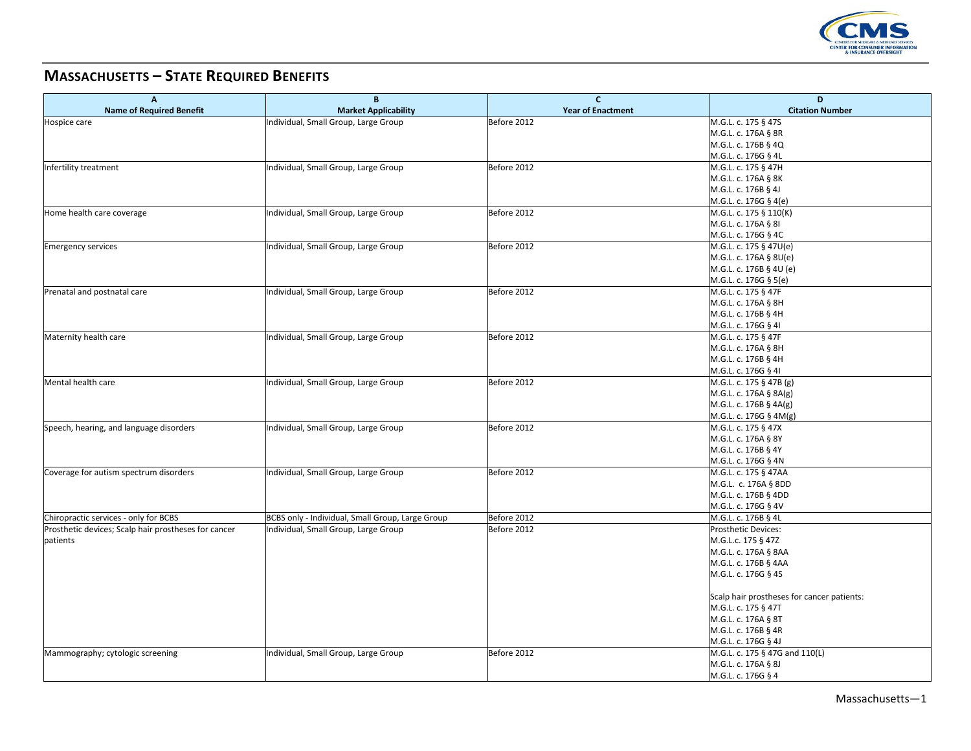

## **MASSACHUSETTS – STATE REQUIRED BENEFITS**

| A                                                    | B                                                | $\mathbf{C}$                            | D                                                |
|------------------------------------------------------|--------------------------------------------------|-----------------------------------------|--------------------------------------------------|
| <b>Name of Required Benefit</b>                      | <b>Market Applicability</b>                      | <b>Year of Enactment</b><br>Before 2012 | <b>Citation Number</b><br>M.G.L. c. 175 § 47S    |
| Hospice care                                         | Individual, Small Group, Large Group             |                                         |                                                  |
|                                                      |                                                  |                                         | M.G.L. c. 176A § 8R<br>M.G.L. c. 176B § 4Q       |
|                                                      |                                                  |                                         |                                                  |
|                                                      |                                                  |                                         | M.G.L. c. 176G § 4L                              |
| Infertility treatment                                | Individual, Small Group, Large Group             | Before 2012                             | M.G.L. c. 175 § 47H<br>M.G.L. c. 176A § 8K       |
|                                                      |                                                  |                                         |                                                  |
|                                                      |                                                  |                                         | M.G.L. c. 176B § 4J                              |
|                                                      | Individual, Small Group, Large Group             | Before 2012                             | M.G.L. c. 176G § 4(e)                            |
| Home health care coverage                            |                                                  |                                         | M.G.L. c. 175 § 110(K)<br>M.G.L. c. 176A § 8I    |
|                                                      |                                                  |                                         |                                                  |
|                                                      |                                                  |                                         | M.G.L. c. 176G § 4C                              |
| <b>Emergency services</b>                            | Individual, Small Group, Large Group             | Before 2012                             | M.G.L. c. 175 § 47U(e)                           |
|                                                      |                                                  |                                         | M.G.L. c. 176A § 8U(e)                           |
|                                                      |                                                  |                                         | M.G.L. c. 176B § 4U (e)                          |
|                                                      |                                                  |                                         | M.G.L. c. 176G § 5(e)                            |
| Prenatal and postnatal care                          | Individual, Small Group, Large Group             | Before 2012                             | M.G.L. c. 175 § 47F                              |
|                                                      |                                                  |                                         | M.G.L. c. 176A § 8H                              |
|                                                      |                                                  |                                         | M.G.L. c. 176B § 4H                              |
|                                                      |                                                  |                                         | M.G.L. c. 176G § 4I                              |
| Maternity health care                                | Individual, Small Group, Large Group             | Before 2012                             | M.G.L. c. 175 § 47F                              |
|                                                      |                                                  |                                         | M.G.L. c. 176A § 8H                              |
|                                                      |                                                  |                                         | M.G.L. c. 176B § 4H                              |
|                                                      |                                                  |                                         | M.G.L. c. 176G § 4I                              |
| Mental health care                                   | Individual, Small Group, Large Group             | Before 2012                             | M.G.L. c. 175 $\S$ 47B (g)                       |
|                                                      |                                                  |                                         | M.G.L. c. 176A § 8A(g)                           |
|                                                      |                                                  |                                         | M.G.L. c. 176B § 4A(g)                           |
|                                                      |                                                  |                                         | M.G.L. c. 176G § 4M(g)                           |
| Speech, hearing, and language disorders              | Individual, Small Group, Large Group             | Before 2012                             | M.G.L. c. 175 § 47X                              |
|                                                      |                                                  |                                         | M.G.L. c. 176A § 8Y                              |
|                                                      |                                                  |                                         | M.G.L. c. 176B § 4Y                              |
|                                                      |                                                  |                                         | M.G.L. c. 176G § 4N                              |
| Coverage for autism spectrum disorders               | Individual, Small Group, Large Group             | Before 2012                             | M.G.L. c. 175 § 47AA<br>M.G.L. c. 176A § 8DD     |
|                                                      |                                                  |                                         | M.G.L. c. 176B § 4DD                             |
|                                                      |                                                  |                                         | M.G.L. c. 176G § 4V                              |
|                                                      |                                                  |                                         |                                                  |
| Chiropractic services - only for BCBS                | BCBS only - Individual, Small Group, Large Group | Before 2012                             | M.G.L. c. 176B § 4L                              |
| Prosthetic devices; Scalp hair prostheses for cancer | Individual, Small Group, Large Group             | Before 2012                             | <b>Prosthetic Devices:</b><br>M.G.L.c. 175 § 47Z |
| patients                                             |                                                  |                                         |                                                  |
|                                                      |                                                  |                                         | M.G.L. c. 176A § 8AA<br>M.G.L. c. 176B § 4AA     |
|                                                      |                                                  |                                         | M.G.L. c. 176G § 4S                              |
|                                                      |                                                  |                                         |                                                  |
|                                                      |                                                  |                                         | Scalp hair prostheses for cancer patients:       |
|                                                      |                                                  |                                         | M.G.L. c. 175 § 47T                              |
|                                                      |                                                  |                                         | M.G.L. c. 176A § 8T                              |
|                                                      |                                                  |                                         | M.G.L. c. 176B § 4R                              |
|                                                      |                                                  |                                         | M.G.L. c. 176G § 4J                              |
| Mammography; cytologic screening                     | Individual, Small Group, Large Group             | Before 2012                             | M.G.L. c. 175 § 47G and 110(L)                   |
|                                                      |                                                  |                                         | M.G.L. c. 176A § 8J                              |
|                                                      |                                                  |                                         | M.G.L. c. 176G § 4                               |
|                                                      |                                                  |                                         |                                                  |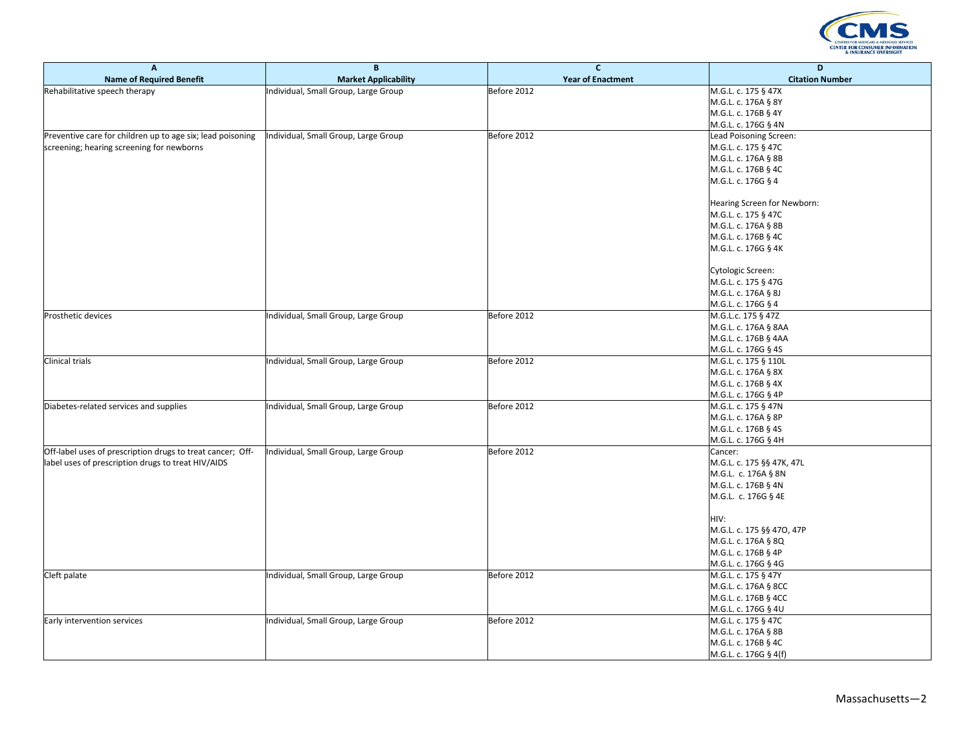

| A                                                          | B                                    | $\mathbf{C}$             | D                           |
|------------------------------------------------------------|--------------------------------------|--------------------------|-----------------------------|
| <b>Name of Required Benefit</b>                            | <b>Market Applicability</b>          | <b>Year of Enactment</b> | <b>Citation Number</b>      |
| Rehabilitative speech therapy                              | Individual, Small Group, Large Group | Before 2012              | M.G.L. c. 175 § 47X         |
|                                                            |                                      |                          | M.G.L. c. 176A § 8Y         |
|                                                            |                                      |                          | M.G.L. c. 176B § 4Y         |
|                                                            |                                      |                          | M.G.L. c. 176G § 4N         |
| Preventive care for children up to age six; lead poisoning | Individual, Small Group, Large Group | Before 2012              | Lead Poisoning Screen:      |
| screening; hearing screening for newborns                  |                                      |                          | M.G.L. c. 175 § 47C         |
|                                                            |                                      |                          | M.G.L. c. 176A § 8B         |
|                                                            |                                      |                          | M.G.L. c. 176B § 4C         |
|                                                            |                                      |                          | M.G.L. c. 176G § 4          |
|                                                            |                                      |                          |                             |
|                                                            |                                      |                          | Hearing Screen for Newborn: |
|                                                            |                                      |                          | M.G.L. c. 175 § 47C         |
|                                                            |                                      |                          | M.G.L. c. 176A § 8B         |
|                                                            |                                      |                          | M.G.L. c. 176B § 4C         |
|                                                            |                                      |                          | M.G.L. c. 176G § 4K         |
|                                                            |                                      |                          |                             |
|                                                            |                                      |                          | Cytologic Screen:           |
|                                                            |                                      |                          | M.G.L. c. 175 § 47G         |
|                                                            |                                      |                          | M.G.L. c. 176A § 8J         |
|                                                            |                                      |                          | M.G.L. c. 176G § 4          |
| Prosthetic devices                                         |                                      | Before 2012              | M.G.L.c. 175 § 47Z          |
|                                                            | Individual, Small Group, Large Group |                          |                             |
|                                                            |                                      |                          | M.G.L. c. 176A § 8AA        |
|                                                            |                                      |                          | M.G.L. c. 176B § 4AA        |
|                                                            |                                      |                          | M.G.L. c. 176G § 4S         |
| <b>Clinical trials</b>                                     | Individual, Small Group, Large Group | Before 2012              | M.G.L. c. 175 § 110L        |
|                                                            |                                      |                          | M.G.L. c. 176A § 8X         |
|                                                            |                                      |                          | M.G.L. c. 176B § 4X         |
|                                                            |                                      |                          | M.G.L. c. 176G § 4P         |
| Diabetes-related services and supplies                     | Individual, Small Group, Large Group | Before 2012              | M.G.L. c. 175 § 47N         |
|                                                            |                                      |                          | M.G.L. c. 176A § 8P         |
|                                                            |                                      |                          | M.G.L. c. 176B § 4S         |
|                                                            |                                      |                          | M.G.L. c. 176G § 4H         |
| Off-label uses of prescription drugs to treat cancer; Off- | Individual, Small Group, Large Group | Before 2012              | Cancer:                     |
| label uses of prescription drugs to treat HIV/AIDS         |                                      |                          | M.G.L. c. 175 §§ 47K, 47L   |
|                                                            |                                      |                          | M.G.L. c. 176A § 8N         |
|                                                            |                                      |                          | M.G.L. c. 176B § 4N         |
|                                                            |                                      |                          | M.G.L. c. 176G § 4E         |
|                                                            |                                      |                          |                             |
|                                                            |                                      |                          | HIV:                        |
|                                                            |                                      |                          | M.G.L. c. 175 §§ 470, 47P   |
|                                                            |                                      |                          | M.G.L. c. 176A § 8Q         |
|                                                            |                                      |                          | M.G.L. c. 176B § 4P         |
|                                                            |                                      |                          | M.G.L. c. 176G § 4G         |
| Cleft palate                                               | Individual, Small Group, Large Group | Before 2012              | M.G.L. c. 175 § 47Y         |
|                                                            |                                      |                          | M.G.L. c. 176A § 8CC        |
|                                                            |                                      |                          | M.G.L. c. 176B § 4CC        |
|                                                            |                                      |                          | M.G.L. c. 176G § 4U         |
| Early intervention services                                | Individual, Small Group, Large Group | Before 2012              | M.G.L. c. 175 § 47C         |
|                                                            |                                      |                          | M.G.L. c. 176A § 8B         |
|                                                            |                                      |                          | M.G.L. c. 176B § 4C         |
|                                                            |                                      |                          | M.G.L. c. 176G § 4(f)       |